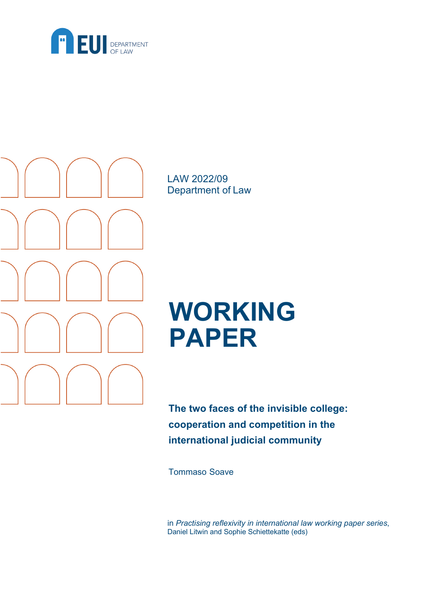



LAW 2022/09 Department of Law

# **WORKING PAPER**

**The two faces of the invisible college: cooperation and competition in the international judicial community**

Tommaso Soave

in *Practising reflexivity in international law working paper series*, Daniel Litwin and Sophie Schiettekatte (eds)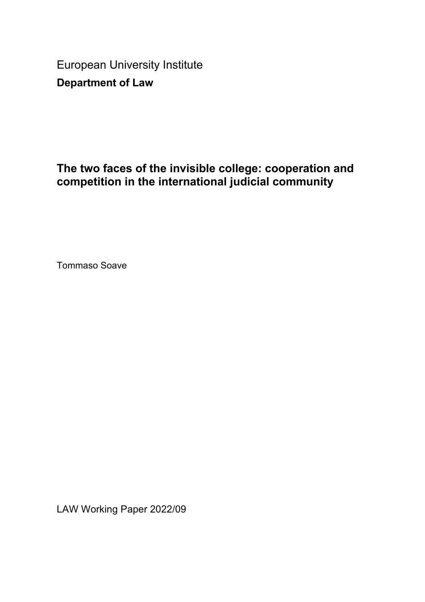European University Institute **Department of Law**

## **The two faces of the invisible college: cooperation and competition in the international judicial community**

Tommaso Soave

LAW Working Paper 2022/09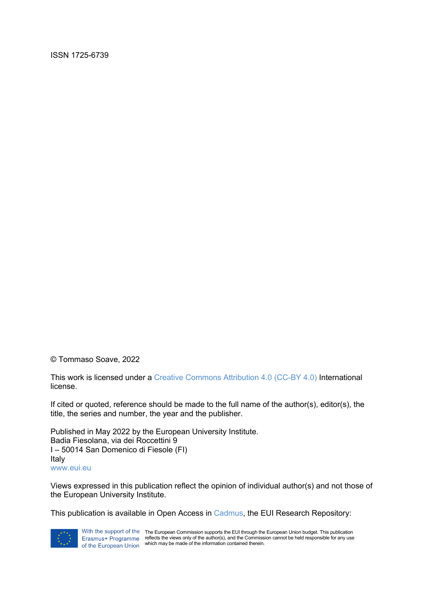ISSN 1725-6739

© Tommaso Soave, 2022

This work is licensed under a Creative Commons Attribution 4.0 (CC-BY 4.0) International license.

If cited or quoted, reference should be made to the full name of the author(s), editor(s), the title, the series and number, the year and the publisher.

Published in May 2022 by the European University Institute. Badia Fiesolana, via dei Roccettini 9 I – 50014 San Domenico di Fiesole (FI) Italy www.eui.eu

Views expressed in this publication reflect the opinion of individual author(s) and not those of the European University Institute.

This publication is available in Open Access in Cadmus, the EUI Research Repository:



With the support of the The European Commission supports the EUI through the European Union budget. This publication reflects the views only of the author(s), and the Commission cannot be held responsible for any use which may be made of the information contained therein.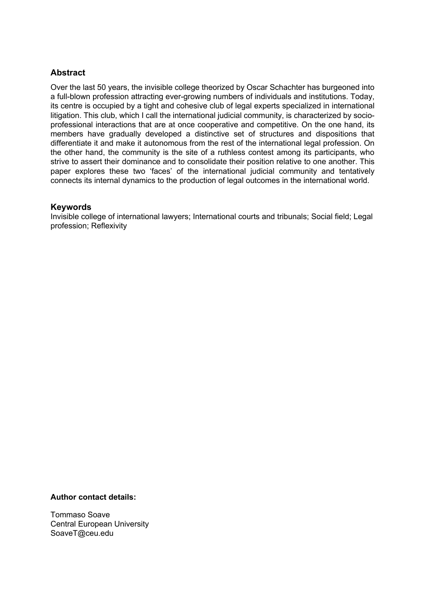#### **Abstract**

Over the last 50 years, the invisible college theorized by Oscar Schachter has burgeoned into a full-blown profession attracting ever-growing numbers of individuals and institutions. Today, its centre is occupied by a tight and cohesive club of legal experts specialized in international litigation. This club, which I call the international judicial community, is characterized by socioprofessional interactions that are at once cooperative and competitive. On the one hand, its members have gradually developed a distinctive set of structures and dispositions that differentiate it and make it autonomous from the rest of the international legal profession. On the other hand, the community is the site of a ruthless contest among its participants, who strive to assert their dominance and to consolidate their position relative to one another. This paper explores these two 'faces' of the international judicial community and tentatively connects its internal dynamics to the production of legal outcomes in the international world.

#### **Keywords**

Invisible college of international lawyers; International courts and tribunals; Social field; Legal profession; Reflexivity

#### **Author contact details:**

Tommaso Soave Central European University SoaveT@ceu.edu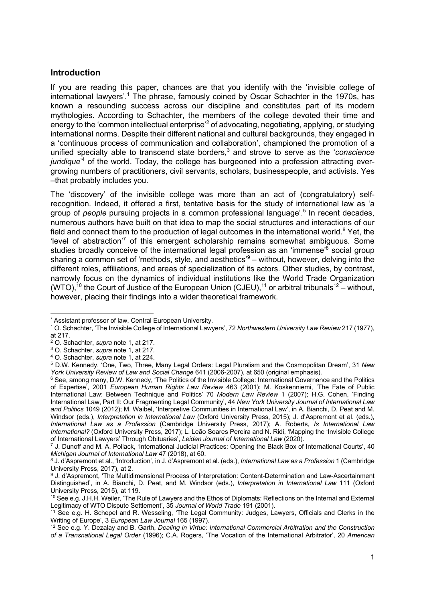#### **Introduction**

If you are reading this paper, chances are that you identify with the 'invisible college of international lawyers'.<sup>1</sup> The phrase, famously coined by Oscar Schachter in the 1970s, has known a resounding success across our discipline and constitutes part of its modern mythologies. According to Schachter, the members of the college devoted their time and energy to the 'common intellectual enterprise'<sup>2</sup> of advocating, negotiating, applying, or studying international norms. Despite their different national and cultural backgrounds, they engaged in a 'continuous process of communication and collaboration', championed the promotion of a unified specialty able to transcend state borders,<sup>3</sup> and strove to serve as the '*conscience juridique*' <sup>4</sup> of the world. Today, the college has burgeoned into a profession attracting evergrowing numbers of practitioners, civil servants, scholars, businesspeople, and activists. Yes –that probably includes you.

The 'discovery' of the invisible college was more than an act of (congratulatory) selfrecognition. Indeed, it offered a first, tentative basis for the study of international law as 'a group of *people* pursuing projects in a common professional language'.<sup>5</sup> In recent decades, numerous authors have built on that idea to map the social structures and interactions of our field and connect them to the production of legal outcomes in the international world. $6$  Yet, the 'level of abstraction'<sup>7</sup> of this emergent scholarship remains somewhat ambiguous. Some studies broadly conceive of the international legal profession as an 'immense'<sup>8</sup> social group sharing a common set of 'methods, style, and aesthetics'<sup>9</sup> – without, however, delving into the different roles, affiliations, and areas of specialization of its actors. Other studies, by contrast, narrowly focus on the dynamics of individual institutions like the World Trade Organization (WTO),<sup>10</sup> the Court of Justice of the European Union (CJEU),<sup>11</sup> or arbitral tribunals<sup>12</sup> – without, however, placing their findings into a wider theoretical framework.

<sup>\*</sup> Assistant professor of law, Central European University.

<sup>1</sup> O. Schachter, 'The Invisible College of International Lawyers', 72 *Northwestern University Law Review* 217 (1977), at 217.

<sup>2</sup> O. Schachter, *supra* note 1, at 217.

<sup>3</sup> O. Schachter, *supra* note 1, at 217.

<sup>4</sup> O. Schachter, *supra* note 1, at 224.

<sup>5</sup> D.W. Kennedy, 'One, Two, Three, Many Legal Orders: Legal Pluralism and the Cosmopolitan Dream', 31 *New York University Review of Law and Social Change* 641 (2006-2007), at 650 (original emphasis).

<sup>6</sup> See, among many, D.W. Kennedy, 'The Politics of the Invisible College: International Governance and the Politics of Expertise', 2001 *European Human Rights Law Review* 463 (2001); M. Koskenniemi, 'The Fate of Public International Law: Between Technique and Politics' 70 *Modern Law Review* 1 (2007); H.G. Cohen, 'Finding International Law, Part II: Our Fragmenting Legal Community', 44 *New York University Journal of International Law and Politics* 1049 (2012); M. Waibel, 'Interpretive Communities in International Law', in A. Bianchi, D. Peat and M. Windsor (eds.), *Interpretation in International Law* (Oxford University Press, 2015); J. d'Aspremont et al. (eds.), *International Law as a Profession* (Cambridge University Press, 2017); A. Roberts, *Is International Law International?* (Oxford University Press, 2017); L. Leão Soares Pereira and N. Ridi, 'Mapping the 'Invisible College of International Lawyers' Through Obituaries', *Leiden Journal of International Law* (2020).

<sup>7</sup> J. Dunoff and M. A. Pollack, 'International Judicial Practices: Opening the Black Box of International Courts', 40 *Michigan Journal of International Law* 47 (2018), at 60.

<sup>8</sup> J. d'Aspremont et al., 'Introduction', in J. d'Aspremont et al. (eds.), *International Law as a Profession* 1 (Cambridge University Press, 2017), at 2.

<sup>9</sup> J. d'Aspremont, 'The Multidimensional Process of Interpretation: Content-Determination and Law-Ascertainment Distinguished', in A. Bianchi, D. Peat, and M. Windsor (eds.), *Interpretation in International Law* 111 (Oxford University Press, 2015), at 119.

<sup>10</sup> See e.g. J.H.H. Weiler, 'The Rule of Lawyers and the Ethos of Diplomats: Reflections on the Internal and External Legitimacy of WTO Dispute Settlement', 35 *Journal of World Trade* 191 (2001).

<sup>11</sup> See e.g. H. Schepel and R. Wesseling, 'The Legal Community: Judges, Lawyers, Officials and Clerks in the Writing of Europe', 3 *European Law Journal* 165 (1997).

<sup>12</sup> See e.g. Y. Dezalay and B. Garth, *Dealing in Virtue: International Commercial Arbitration and the Construction of a Transnational Legal Order* (1996); C.A. Rogers, 'The Vocation of the International Arbitrator', 20 *American*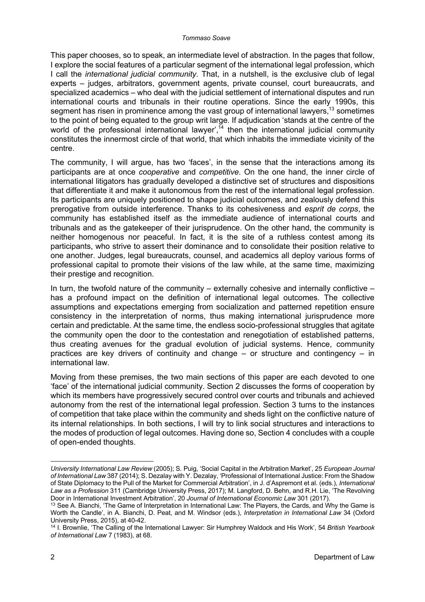This paper chooses, so to speak, an intermediate level of abstraction. In the pages that follow, I explore the social features of a particular segment of the international legal profession, which I call the *international judicial community*. That, in a nutshell, is the exclusive club of legal experts – judges, arbitrators, government agents, private counsel, court bureaucrats, and specialized academics – who deal with the judicial settlement of international disputes and run international courts and tribunals in their routine operations. Since the early 1990s, this segment has risen in prominence among the vast group of international lawyers,  $13$  sometimes to the point of being equated to the group writ large. If adjudication 'stands at the centre of the world of the professional international lawyer', $^{14}$  then the international judicial community constitutes the innermost circle of that world, that which inhabits the immediate vicinity of the centre.

The community, I will argue, has two 'faces', in the sense that the interactions among its participants are at once *cooperative* and *competitive*. On the one hand, the inner circle of international litigators has gradually developed a distinctive set of structures and dispositions that differentiate it and make it autonomous from the rest of the international legal profession. Its participants are uniquely positioned to shape judicial outcomes, and zealously defend this prerogative from outside interference. Thanks to its cohesiveness and *esprit de corps*, the community has established itself as the immediate audience of international courts and tribunals and as the gatekeeper of their jurisprudence. On the other hand, the community is neither homogenous nor peaceful. In fact, it is the site of a ruthless contest among its participants, who strive to assert their dominance and to consolidate their position relative to one another. Judges, legal bureaucrats, counsel, and academics all deploy various forms of professional capital to promote their visions of the law while, at the same time, maximizing their prestige and recognition.

In turn, the twofold nature of the community – externally cohesive and internally conflictive – has a profound impact on the definition of international legal outcomes. The collective assumptions and expectations emerging from socialization and patterned repetition ensure consistency in the interpretation of norms, thus making international jurisprudence more certain and predictable. At the same time, the endless socio-professional struggles that agitate the community open the door to the contestation and renegotiation of established patterns, thus creating avenues for the gradual evolution of judicial systems. Hence, community practices are key drivers of continuity and change – or structure and contingency – in international law.

Moving from these premises, the two main sections of this paper are each devoted to one 'face' of the international judicial community. Section 2 discusses the forms of cooperation by which its members have progressively secured control over courts and tribunals and achieved autonomy from the rest of the international legal profession. Section 3 turns to the instances of competition that take place within the community and sheds light on the conflictive nature of its internal relationships. In both sections, I will try to link social structures and interactions to the modes of production of legal outcomes. Having done so, Section 4 concludes with a couple of open-ended thoughts.

*University International Law Review* (2005); S. Puig, 'Social Capital in the Arbitration Market', 25 *European Journal of International Law* 387 (2014); S. Dezalay with Y. Dezalay, 'Professional of International Justice: From the Shadow of State Diplomacy to the Pull of the Market for Commercial Arbitration', in J. d'Aspremont et al. (eds.), *International Law as a Profession* 311 (Cambridge University Press, 2017); M. Langford, D. Behn, and R.H. Lie, 'The Revolving Door in International Investment Arbitration', 20 *Journal of International Economic Law* 301 (2017).

<sup>&</sup>lt;sup>13</sup> See A. Bianchi, 'The Game of Interpretation in International Law: The Players, the Cards, and Why the Game is Worth the Candle', in A. Bianchi, D. Peat, and M. Windsor (eds.), *Interpretation in International Law* 34 (Oxford University Press, 2015), at 40-42.

<sup>14</sup> I. Brownlie, 'The Calling of the International Lawyer: Sir Humphrey Waldock and His Work', 54 *British Yearbook of International Law* 7 (1983), at 68.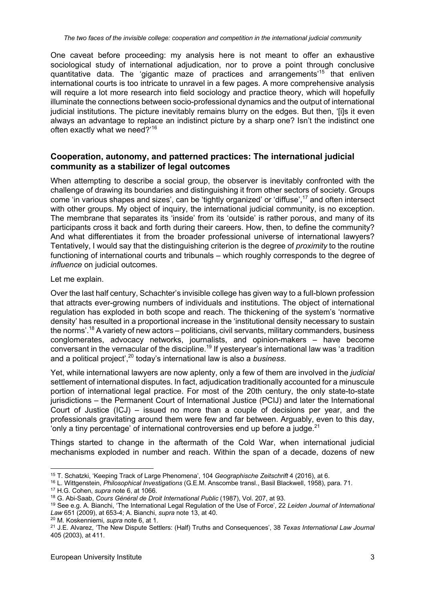One caveat before proceeding: my analysis here is not meant to offer an exhaustive sociological study of international adjudication, nor to prove a point through conclusive quantitative data. The 'gigantic maze of practices and arrangements'<sup>15</sup> that enliven international courts is too intricate to unravel in a few pages. A more comprehensive analysis will require a lot more research into field sociology and practice theory, which will hopefully illuminate the connections between socio-professional dynamics and the output of international judicial institutions. The picture inevitably remains blurry on the edges. But then, '[i]s it even always an advantage to replace an indistinct picture by a sharp one? Isn't the indistinct one often exactly what we need?'<sup>16</sup>

### **Cooperation, autonomy, and patterned practices: The international judicial community as a stabilizer of legal outcomes**

When attempting to describe a social group, the observer is inevitably confronted with the challenge of drawing its boundaries and distinguishing it from other sectors of society. Groups come 'in various shapes and sizes', can be 'tightly organized' or 'diffuse',<sup>17</sup> and often intersect with other groups. My object of inquiry, the international judicial community, is no exception. The membrane that separates its 'inside' from its 'outside' is rather porous, and many of its participants cross it back and forth during their careers. How, then, to define the community? And what differentiates it from the broader professional universe of international lawyers? Tentatively, I would say that the distinguishing criterion is the degree of *proximity* to the routine functioning of international courts and tribunals – which roughly corresponds to the degree of *influence* on judicial outcomes.

#### Let me explain.

Over the last half century, Schachter's invisible college has given way to a full-blown profession that attracts ever-growing numbers of individuals and institutions. The object of international regulation has exploded in both scope and reach. The thickening of the system's 'normative density' has resulted in a proportional increase in the 'institutional density necessary to sustain the norms'.<sup>18</sup> A variety of new actors – politicians, civil servants, military commanders, business conglomerates, advocacy networks, journalists, and opinion-makers – have become conversant in the vernacular of the discipline.19 If yesteryear's international law was 'a tradition and a political project',20 today's international law is also a *business*.

Yet, while international lawyers are now aplenty, only a few of them are involved in the *judicial* settlement of international disputes. In fact, adjudication traditionally accounted for a minuscule portion of international legal practice. For most of the 20th century, the only state-to-state jurisdictions – the Permanent Court of International Justice (PCIJ) and later the International Court of Justice (ICJ) – issued no more than a couple of decisions per year, and the professionals gravitating around them were few and far between. Arguably, even to this day, 'only a tiny percentage' of international controversies end up before a judge. $21$ 

Things started to change in the aftermath of the Cold War, when international judicial mechanisms exploded in number and reach. Within the span of a decade, dozens of new

<sup>16</sup> L. Wittgenstein, *Philosophical Investigations* (G.E.M. Anscombe transl., Basil Blackwell, 1958), para. 71.

<sup>20</sup> M. Koskenniemi, *supra* note 6, at 1.

<sup>15</sup> T. Schatzki, 'Keeping Track of Large Phenomena', 104 *Geographische Zeitschrift* 4 (2016), at 6.

<sup>17</sup> H.G. Cohen, *supra* note 6, at 1066.

<sup>18</sup> G. Abi-Saab, *Cours Général de Droit International Public* (1987), Vol. 207, at 93.

<sup>19</sup> See e.g. A. Bianchi, 'The International Legal Regulation of the Use of Force', 22 *Leiden Journal of International Law* 651 (2009), at 653-4; A. Bianchi, *supra* note 13, at 40.

<sup>21</sup> J.E. Alvarez, 'The New Dispute Settlers: (Half) Truths and Consequences', 38 *Texas International Law Journal* 405 (2003), at 411.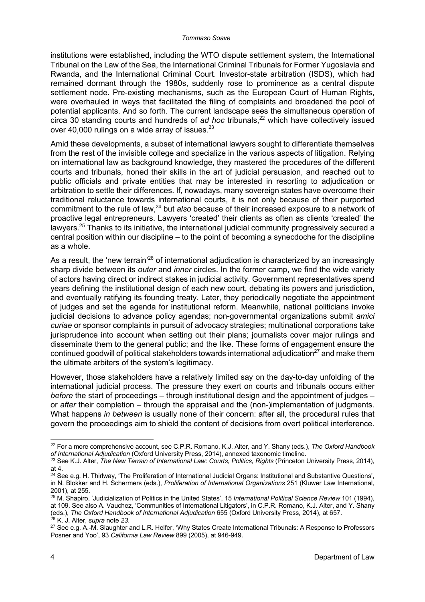#### *Tommaso Soave*

institutions were established, including the WTO dispute settlement system, the International Tribunal on the Law of the Sea, the International Criminal Tribunals for Former Yugoslavia and Rwanda, and the International Criminal Court. Investor-state arbitration (ISDS), which had remained dormant through the 1980s, suddenly rose to prominence as a central dispute settlement node. Pre-existing mechanisms, such as the European Court of Human Rights, were overhauled in ways that facilitated the filing of complaints and broadened the pool of potential applicants. And so forth. The current landscape sees the simultaneous operation of circa 30 standing courts and hundreds of *ad hoc* tribunals,<sup>22</sup> which have collectively issued over 40,000 rulings on a wide array of issues. $^{23}$ 

Amid these developments, a subset of international lawyers sought to differentiate themselves from the rest of the invisible college and specialize in the various aspects of litigation. Relying on international law as background knowledge, they mastered the procedures of the different courts and tribunals, honed their skills in the art of judicial persuasion, and reached out to public officials and private entities that may be interested in resorting to adjudication or arbitration to settle their differences. If, nowadays, many sovereign states have overcome their traditional reluctance towards international courts, it is not only because of their purported commitment to the rule of law,<sup>24</sup> but *also* because of their increased exposure to a network of proactive legal entrepreneurs. Lawyers 'created' their clients as often as clients 'created' the lawyers.<sup>25</sup> Thanks to its initiative, the international judicial community progressively secured a central position within our discipline – to the point of becoming a synecdoche for the discipline as a whole.

As a result, the 'new terrain'<sup>26</sup> of international adjudication is characterized by an increasingly sharp divide between its *outer* and *inner* circles. In the former camp, we find the wide variety of actors having direct or indirect stakes in judicial activity. Government representatives spend years defining the institutional design of each new court, debating its powers and jurisdiction, and eventually ratifying its founding treaty. Later, they periodically negotiate the appointment of judges and set the agenda for institutional reform. Meanwhile, national politicians invoke judicial decisions to advance policy agendas; non-governmental organizations submit *amici curiae* or sponsor complaints in pursuit of advocacy strategies; multinational corporations take jurisprudence into account when setting out their plans; journalists cover major rulings and disseminate them to the general public; and the like. These forms of engagement ensure the continued goodwill of political stakeholders towards international adjudication $^{27}$  and make them the ultimate arbiters of the system's legitimacy.

However, those stakeholders have a relatively limited say on the day-to-day unfolding of the international judicial process. The pressure they exert on courts and tribunals occurs either *before* the start of proceedings – through institutional design and the appointment of judges – or *after* their completion – through the appraisal and the (non-)implementation of judgments. What happens *in between* is usually none of their concern: after all, the procedural rules that govern the proceedings aim to shield the content of decisions from overt political interference.

<sup>22</sup> For a more comprehensive account, see C.P.R. Romano, K.J. Alter, and Y. Shany (eds.), *The Oxford Handbook of International Adjudication* (Oxford University Press, 2014), annexed taxonomic timeline.

<sup>&</sup>lt;sup>23</sup> See K.J. Alter, *The New Terrain of International Law: Courts, Politics, Rights* (Princeton University Press, 2014), at 4.

<sup>&</sup>lt;sup>24</sup> See e.g. H. Thirlway, 'The Proliferation of International Judicial Organs: Institutional and Substantive Questions', in N. Blokker and H. Schermers (eds.), *Proliferation of International Organizations* 251 (Kluwer Law International, 2001), at 255.

<sup>25</sup> M. Shapiro, 'Judicialization of Politics in the United States', 15 *International Political Science Review* 101 (1994), at 109. See also A. Vauchez, 'Communities of International Litigators', in C.P.R. Romano, K.J. Alter, and Y. Shany (eds.), *The Oxford Handbook of International Adjudication* 655 (Oxford University Press, 2014), at 657. <sup>26</sup> K. J. Alter, *supra* note *23*.

<sup>&</sup>lt;sup>27</sup> See e.g. A.-M. Slaughter and L.R. Helfer, 'Why States Create International Tribunals: A Response to Professors Posner and Yoo', 93 *California Law Review* 899 (2005), at 946-949.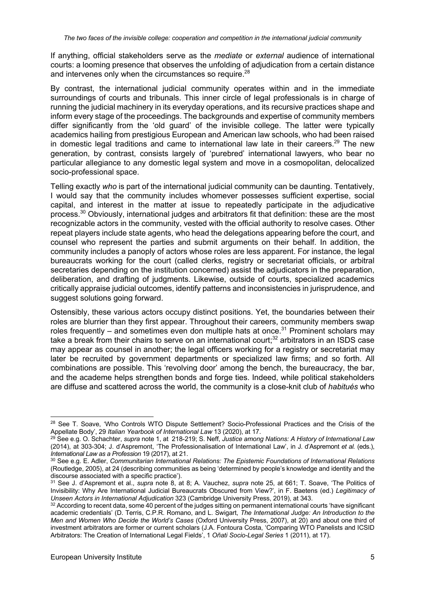If anything, official stakeholders serve as the *mediate* or *external* audience of international courts: a looming presence that observes the unfolding of adjudication from a certain distance and intervenes only when the circumstances so require.<sup>28</sup>

By contrast, the international judicial community operates within and in the immediate surroundings of courts and tribunals. This inner circle of legal professionals is in charge of running the judicial machinery in its everyday operations, and its recursive practices shape and inform every stage of the proceedings. The backgrounds and expertise of community members differ significantly from the 'old guard' of the invisible college. The latter were typically academics hailing from prestigious European and American law schools, who had been raised in domestic legal traditions and came to international law late in their careers.<sup>29</sup> The new generation, by contrast, consists largely of 'purebred' international lawyers, who bear no particular allegiance to any domestic legal system and move in a cosmopolitan, delocalized socio-professional space.

Telling exactly *who* is part of the international judicial community can be daunting. Tentatively, I would say that the community includes whomever possesses sufficient expertise, social capital, and interest in the matter at issue to repeatedly participate in the adjudicative process.30 Obviously, international judges and arbitrators fit that definition: these are the most recognizable actors in the community, vested with the official authority to resolve cases. Other repeat players include state agents, who head the delegations appearing before the court, and counsel who represent the parties and submit arguments on their behalf. In addition, the community includes a panoply of actors whose roles are less apparent. For instance, the legal bureaucrats working for the court (called clerks, registry or secretariat officials, or arbitral secretaries depending on the institution concerned) assist the adjudicators in the preparation, deliberation, and drafting of judgments. Likewise, outside of courts, specialized academics critically appraise judicial outcomes, identify patterns and inconsistencies in jurisprudence, and suggest solutions going forward.

Ostensibly, these various actors occupy distinct positions. Yet, the boundaries between their roles are blurrier than they first appear. Throughout their careers, community members swap roles frequently – and sometimes even don multiple hats at once.<sup>31</sup> Prominent scholars may take a break from their chairs to serve on an international court;<sup>32</sup> arbitrators in an ISDS case may appear as counsel in another; the legal officers working for a registry or secretariat may later be recruited by government departments or specialized law firms; and so forth. All combinations are possible. This 'revolving door' among the bench, the bureaucracy, the bar, and the academe helps strengthen bonds and forge ties. Indeed, while political stakeholders are diffuse and scattered across the world, the community is a close-knit club of *habitués* who

<sup>&</sup>lt;sup>28</sup> See T. Soave, 'Who Controls WTO Dispute Settlement? Socio-Professional Practices and the Crisis of the Appellate Body', 29 *Italian Yearbook of International Law* 13 (2020), at 17.

<sup>29</sup> See e.g. O. Schachter, *supra* note 1, at 218-219; S. Neff, *Justice among Nations: A History of International Law* (2014), at 303-304; J. d'Aspremont, 'The Professionalisation of International Law', in J. d'Aspremont *et al.* (eds.), *International Law as a Profession* 19 (2017), at 21.

<sup>30</sup> See e.g. E. Adler, *Communitarian International Relations: The Epistemic Foundations of International Relations* (Routledge, 2005), at 24 (describing communities as being 'determined by people's knowledge and identity and the discourse associated with a specific practice').

<sup>31</sup> See J. d'Aspremont et al., *supra* note 8, at 8; A. Vauchez, *supra* note 25, at 661; T. Soave, 'The Politics of Invisibility: Why Are International Judicial Bureaucrats Obscured from View?', in F. Baetens (ed.) *Legitimacy of Unseen Actors in International Adjudication* 323 (Cambridge University Press, 2019), at 343.

<sup>32</sup> According to recent data, some 40 percent of the judges sitting on permanent international courts 'have significant academic credentials' (D. Terris, C.P.R. Romano, and L. Swigart, *The International Judge: An Introduction to the Men and Women Who Decide the World's Cases* (Oxford University Press, 2007), at 20) and about one third of investment arbitrators are former or current scholars (J.A. Fontoura Costa, 'Comparing WTO Panelists and ICSID Arbitrators: The Creation of International Legal Fields', 1 *Oñati Socio-Legal Series* 1 (2011), at 17).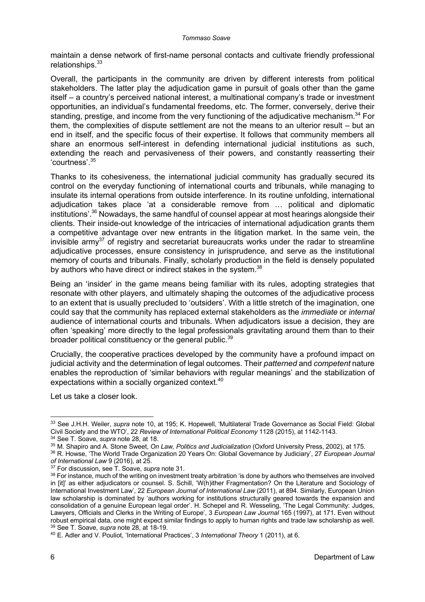maintain a dense network of first-name personal contacts and cultivate friendly professional relationships.<sup>33</sup>

Overall, the participants in the community are driven by different interests from political stakeholders. The latter play the adjudication game in pursuit of goals other than the game itself – a country's perceived national interest, a multinational company's trade or investment opportunities, an individual's fundamental freedoms, etc. The former, conversely, derive their standing, prestige, and income from the very functioning of the adjudicative mechanism.  $34$  For them, the complexities of dispute settlement are not the means to an ulterior result – but an end in itself, and the specific focus of their expertise. It follows that community members all share an enormous self-interest in defending international judicial institutions as such, extending the reach and pervasiveness of their powers, and constantly reasserting their 'courtness'. 35

Thanks to its cohesiveness, the international judicial community has gradually secured its control on the everyday functioning of international courts and tribunals, while managing to insulate its internal operations from outside interference. In its routine unfolding, international adjudication takes place 'at a considerable remove from … political and diplomatic institutions'.<sup>36</sup> Nowadays, the same handful of counsel appear at most hearings alongside their clients. Their inside-out knowledge of the intricacies of international adjudication grants them a competitive advantage over new entrants in the litigation market. In the same vein, the invisible arm $v^{37}$  of registry and secretariat bureaucrats works under the radar to streamline adjudicative processes, ensure consistency in jurisprudence, and serve as the institutional memory of courts and tribunals. Finally, scholarly production in the field is densely populated by authors who have direct or indirect stakes in the system.<sup>38</sup>

Being an 'insider' in the game means being familiar with its rules, adopting strategies that resonate with other players, and ultimately shaping the outcomes of the adjudicative process to an extent that is usually precluded to 'outsiders'. With a little stretch of the imagination, one could say that the community has replaced external stakeholders as the *immediate* or *internal* audience of international courts and tribunals. When adjudicators issue a decision, they are often 'speaking' more directly to the legal professionals gravitating around them than to their broader political constituency or the general public.<sup>39</sup>

Crucially, the cooperative practices developed by the community have a profound impact on judicial activity and the determination of legal outcomes. Their *patterned* and *competent* nature enables the reproduction of 'similar behaviors with regular meanings' and the stabilization of expectations within a socially organized context.<sup>40</sup>

Let us take a closer look.

<sup>36</sup> R. Howse, 'The World Trade Organization 20 Years On: Global Governance by Judiciary', 27 *European Journal of International Law* 9 (2016), at 25.

<sup>33</sup> See J.H.H. Weiler, *supra* note 10, at 195; K. Hopewell, 'Multilateral Trade Governance as Social Field: Global Civil Society and the WTO', 22 *Review of International Political Economy* 1128 (2015), at 1142-1143. <sup>34</sup> See T. Soave, *supra* note 28, at 18.

<sup>35</sup> M. Shapiro and A. Stone Sweet, *On Law, Politics and Judicialization* (Oxford University Press, 2002), at 175.

<sup>37</sup> For discussion, see T. Soave, *supra* note 31.

<sup>38</sup> For instance, much of the writing on investment treaty arbitration 'is done by authors who themselves are involved in [it]' as either adjudicators or counsel. S. Schill, 'W(h)ither Fragmentation? On the Literature and Sociology of International Investment Law', 22 *European Journal of International Law* (2011), at 894. Similarly, European Union law scholarship is dominated by 'authors working for institutions structurally geared towards the expansion and consolidation of a genuine European legal order'. H. Schepel and R. Wesseling, 'The Legal Community: Judges, Lawyers, Officials and Clerks in the Writing of Europe', 3 *European Law Journal* 165 (1997), at 171. Even without robust empirical data, one might expect similar findings to apply to human rights and trade law scholarship as well. <sup>39</sup> See T. Soave, *supra* note 28, at 18-19.

<sup>40</sup> E. Adler and V. Pouliot, 'International Practices', 3 *International Theory* 1 (2011), at 6.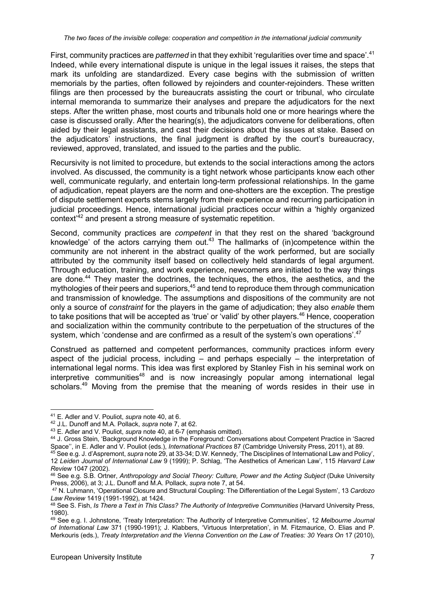First, community practices are *patterned* in that they exhibit 'regularities over time and space'.<sup>41</sup> Indeed, while every international dispute is unique in the legal issues it raises, the steps that mark its unfolding are standardized. Every case begins with the submission of written memorials by the parties, often followed by rejoinders and counter-rejoinders. These written filings are then processed by the bureaucrats assisting the court or tribunal, who circulate internal memoranda to summarize their analyses and prepare the adjudicators for the next steps. After the written phase, most courts and tribunals hold one or more hearings where the case is discussed orally. After the hearing(s), the adjudicators convene for deliberations, often aided by their legal assistants, and cast their decisions about the issues at stake. Based on the adjudicators' instructions, the final judgment is drafted by the court's bureaucracy, reviewed, approved, translated, and issued to the parties and the public.

Recursivity is not limited to procedure, but extends to the social interactions among the actors involved. As discussed, the community is a tight network whose participants know each other well, communicate regularly, and entertain long-term professional relationships. In the game of adjudication, repeat players are the norm and one-shotters are the exception. The prestige of dispute settlement experts stems largely from their experience and recurring participation in judicial proceedings. Hence, international judicial practices occur within a 'highly organized context<sup>42</sup> and present a strong measure of systematic repetition.

Second, community practices are *competent* in that they rest on the shared 'background knowledge' of the actors carrying them out.<sup>43</sup> The hallmarks of (in)competence within the community are not inherent in the abstract quality of the work performed, but are socially attributed by the community itself based on collectively held standards of legal argument. Through education, training, and work experience, newcomers are initiated to the way things are done.<sup>44</sup> They master the doctrines, the techniques, the ethos, the aesthetics, and the mythologies of their peers and superiors,<sup>45</sup> and tend to reproduce them through communication and transmission of knowledge. The assumptions and dispositions of the community are not only a source of *constraint* for the players in the game of adjudication; they also *enable* them to take positions that will be accepted as 'true' or 'valid' by other players.<sup>46</sup> Hence, cooperation and socialization within the community contribute to the perpetuation of the structures of the system, which 'condense and are confirmed as a result of the system's own operations'.<sup>47</sup>

Construed as patterned and competent performances, community practices inform every aspect of the judicial process, including  $-$  and perhaps especially  $-$  the interpretation of international legal norms. This idea was first explored by Stanley Fish in his seminal work on  $interpretive$  communities<sup>48</sup> and is now increasingly popular among international legal scholars.<sup>49</sup> Moving from the premise that the meaning of words resides in their use in

<sup>41</sup> E. Adler and V. Pouliot, *supra* note 40, at 6.

<sup>42</sup> J.L. Dunoff and M.A. Pollack, *supra* note 7, at 62.

<sup>43</sup> E. Adler and V. Pouliot, *supra* note 40, at 6-7 (emphasis omitted).

<sup>&</sup>lt;sup>44</sup> J. Gross Stein, 'Background Knowledge in the Foreground: Conversations about Competent Practice in 'Sacred<br>Space", in E. Adler and V. Pouliot (eds.), *International Practices* 87 (Cambridge University Press, 2011), at

<sup>&</sup>lt;sup>45</sup> See e.g. J. d'Aspremont, *supra* note 29, at 33-34; D.W. Kennedy, 'The Disciplines of International Law and Policy', 12 *Leiden Journal of International Law* 9 (1999); P. Schlag, 'The Aesthetics of American Law', 115 *Harvard Law* 

*Review* 1047 (2002). 46 See e.g. S.B. Ortner, *Anthropology and Social Theory: Culture, Power and the Acting Subject* (Duke University Press, 2006), at 3; J.L. Dunoff and M.A. Pollack, *supra* note 7, at 54.

<sup>47</sup> N. Luhmann, 'Operational Closure and Structural Coupling: The Differentiation of the Legal System', 13 *Cardozo* 

<sup>&</sup>lt;sup>48</sup> See S. Fish, *Is There a Text in This Class? The Authority of Interpretive Communities (Harvard University Press,* 1980).

<sup>49</sup> See e.g. I. Johnstone, 'Treaty Interpretation: The Authority of Interpretive Communities', 12 *Melbourne Journal of International Law* 371 (1990-1991); J. Klabbers, 'Virtuous Interpretation', in M. Fitzmaurice, O. Elias and P. Merkouris (eds.), *Treaty Interpretation and the Vienna Convention on the Law of Treaties: 30 Years On* 17 (2010),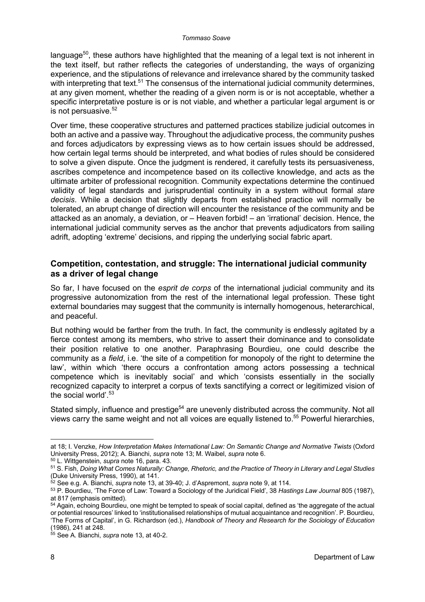language<sup>50</sup>, these authors have highlighted that the meaning of a legal text is not inherent in the text itself, but rather reflects the categories of understanding, the ways of organizing experience, and the stipulations of relevance and irrelevance shared by the community tasked with interpreting that text.<sup>51</sup> The consensus of the international judicial community determines, at any given moment, whether the reading of a given norm is or is not acceptable, whether a specific interpretative posture is or is not viable, and whether a particular legal argument is or is not persuasive. $52$ 

Over time, these cooperative structures and patterned practices stabilize judicial outcomes in both an active and a passive way. Throughout the adjudicative process, the community pushes and forces adjudicators by expressing views as to how certain issues should be addressed, how certain legal terms should be interpreted, and what bodies of rules should be considered to solve a given dispute. Once the judgment is rendered, it carefully tests its persuasiveness, ascribes competence and incompetence based on its collective knowledge, and acts as the ultimate arbiter of professional recognition. Community expectations determine the continued validity of legal standards and jurisprudential continuity in a system without formal *stare decisis*. While a decision that slightly departs from established practice will normally be tolerated, an abrupt change of direction will encounter the resistance of the community and be attacked as an anomaly, a deviation, or – Heaven forbid! – an 'irrational' decision. Hence, the international judicial community serves as the anchor that prevents adjudicators from sailing adrift, adopting 'extreme' decisions, and ripping the underlying social fabric apart.

#### **Competition, contestation, and struggle: The international judicial community as a driver of legal change**

So far, I have focused on the *esprit de corps* of the international judicial community and its progressive autonomization from the rest of the international legal profession. These tight external boundaries may suggest that the community is internally homogenous, heterarchical, and peaceful.

But nothing would be farther from the truth. In fact, the community is endlessly agitated by a fierce contest among its members, who strive to assert their dominance and to consolidate their position relative to one another. Paraphrasing Bourdieu, one could describe the community as a *field*, i.e. 'the site of a competition for monopoly of the right to determine the law', within which 'there occurs a confrontation among actors possessing a technical competence which is inevitably social' and which 'consists essentially in the socially recognized capacity to interpret a corpus of texts sanctifying a correct or legitimized vision of the social world'.<sup>53</sup>

Stated simply, influence and prestige<sup>54</sup> are unevenly distributed across the community. Not all views carry the same weight and not all voices are equally listened to.<sup>55</sup> Powerful hierarchies,

at 18; I. Venzke, *How Interpretation Makes International Law: On Semantic Change and Normative Twists* (Oxford University Press, 2012); A. Bianchi, *supra* note 13; M. Waibel, *supra* note 6.

<sup>50</sup> L. Wittgenstein, *supra* note 16, para. 43.

<sup>51</sup> S. Fish, *Doing What Comes Naturally: Change, Rhetoric, and the Practice of Theory in Literary and Legal Studies* (Duke University Press, 1990), at 141.

<sup>52</sup> See e.g. A. Bianchi, *supra* note 13, at 39-40; J. d'Aspremont, *supra* note 9, at 114.

<sup>53</sup> P. Bourdieu, 'The Force of Law: Toward a Sociology of the Juridical Field', 38 *Hastings Law Journal* 805 (1987), at 817 (emphasis omitted).

<sup>&</sup>lt;sup>54</sup> Again, echoing Bourdieu, one might be tempted to speak of social capital, defined as 'the aggregate of the actual or potential resources' linked to 'institutionalised relationships of mutual acquaintance and recognition'. P. Bourdieu, 'The Forms of Capital', in G. Richardson (ed.), *Handbook of Theory and Research for the Sociology of Education* (1986), 241 at 248.

<sup>55</sup> See A. Bianchi, *supra* note 13, at 40-2.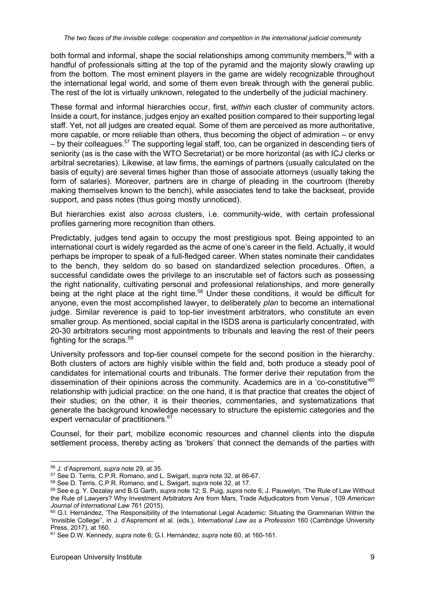both formal and informal, shape the social relationships among community members,  $56$  with a handful of professionals sitting at the top of the pyramid and the majority slowly crawling up from the bottom. The most eminent players in the game are widely recognizable throughout the international legal world, and some of them even break through with the general public. The rest of the lot is virtually unknown, relegated to the underbelly of the judicial machinery.

These formal and informal hierarchies occur, first, *within* each cluster of community actors. Inside a court, for instance, judges enjoy an exalted position compared to their supporting legal staff. Yet, not all judges are created equal. Some of them are perceived as more authoritative, more capable, or more reliable than others, thus becoming the object of admiration – or envy  $-$  by their colleagues.<sup>57</sup> The supporting legal staff, too, can be organized in descending tiers of seniority (as is the case with the WTO Secretariat) or be more horizontal (as with ICJ clerks or arbitral secretaries). Likewise, at law firms, the earnings of partners (usually calculated on the basis of equity) are several times higher than those of associate attorneys (usually taking the form of salaries). Moreover, partners are in charge of pleading in the courtroom (thereby making themselves known to the bench), while associates tend to take the backseat, provide support, and pass notes (thus going mostly unnoticed).

But hierarchies exist also *across* clusters, i.e. community-wide, with certain professional profiles garnering more recognition than others.

Predictably, judges tend again to occupy the most prestigious spot. Being appointed to an international court is widely regarded as the acme of one's career in the field. Actually, it would perhaps be improper to speak of a full-fledged career. When states nominate their candidates to the bench, they seldom do so based on standardized selection procedures. Often, a successful candidate owes the privilege to an inscrutable set of factors such as possessing the right nationality, cultivating personal and professional relationships, and more generally being at the right place at the right time.<sup>58</sup> Under these conditions, it would be difficult for anyone, even the most accomplished lawyer, to deliberately *plan* to become an international judge. Similar reverence is paid to top-tier investment arbitrators, who constitute an even smaller group. As mentioned, social capital in the ISDS arena is particularly concentrated, with 20-30 arbitrators securing most appointments to tribunals and leaving the rest of their peers fighting for the scraps.59

University professors and top-tier counsel compete for the second position in the hierarchy. Both clusters of actors are highly visible within the field and, both produce a steady pool of candidates for international courts and tribunals. The former derive their reputation from the dissemination of their opinions across the community. Academics are in a 'co-constitutive'<sup>60</sup> relationship with judicial practice: on the one hand, it is that practice that creates the object of their studies; on the other, it is their theories, commentaries, and systematizations that generate the background knowledge necessary to structure the epistemic categories and the expert vernacular of practitioners.<sup>61</sup>

Counsel, for their part, mobilize economic resources and channel clients into the dispute settlement process, thereby acting as 'brokers' that connect the demands of the parties with

<sup>56</sup> J. d'Aspremont, *supra* note 29, at 35.

<sup>57</sup> See D. Terris, C.P.R. Romano, and L. Swigart, *supra* note 32, at 66-67.

<sup>59</sup> See e.g. Y. Dezalay and B.G Garth, *supra* note 12; S. Puig, *supra* note 6; J. Pauwelyn, 'The Rule of Law Without the Rule of Lawyers? Why Investment Arbitrators Are from Mars, Trade Adjudicators from Venus', 109 *American Journal of International Law* 761 (2015).

<sup>&</sup>lt;sup>60</sup> G.I. Hernández, 'The Responsibility of the International Legal Academic: Situating the Grammarian Within the 'Invisible College'', in J. d'Aspremont et al. (eds.), *International Law as a Profession* 160 (Cambridge University Press, 2017), at 160.

<sup>61</sup> See D.W. Kennedy, *supra* note 6; G.I. Hernández, *supra* note 60, at 160-161.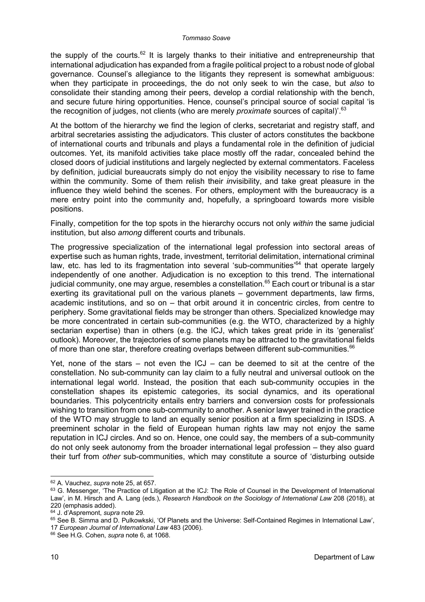the supply of the courts.<sup>62</sup> It is largely thanks to their initiative and entrepreneurship that international adjudication has expanded from a fragile political project to a robust node of global governance. Counsel's allegiance to the litigants they represent is somewhat ambiguous: when they participate in proceedings, the do not only seek to win the case, but *also* to consolidate their standing among their peers, develop a cordial relationship with the bench, and secure future hiring opportunities. Hence, counsel's principal source of social capital 'is the recognition of judges, not clients (who are merely *proximate* sources of capital)<sup>'.63</sup>

At the bottom of the hierarchy we find the legion of clerks, secretariat and registry staff, and arbitral secretaries assisting the adjudicators. This cluster of actors constitutes the backbone of international courts and tribunals and plays a fundamental role in the definition of judicial outcomes. Yet, its manifold activities take place mostly off the radar, concealed behind the closed doors of judicial institutions and largely neglected by external commentators. Faceless by definition, judicial bureaucrats simply do not enjoy the visibility necessary to rise to fame within the community. Some of them relish their *in*visibility, and take great pleasure in the influence they wield behind the scenes. For others, employment with the bureaucracy is a mere entry point into the community and, hopefully, a springboard towards more visible positions.

Finally, competition for the top spots in the hierarchy occurs not only *within* the same judicial institution, but also *among* different courts and tribunals.

The progressive specialization of the international legal profession into sectoral areas of expertise such as human rights, trade, investment, territorial delimitation, international criminal law, etc. has led to its fragmentation into several 'sub-communities'<sup>64</sup> that operate largely independently of one another. Adjudication is no exception to this trend. The international judicial community, one may argue, resembles a constellation.<sup>65</sup> Each court or tribunal is a star exerting its gravitational pull on the various planets – government departments, law firms, academic institutions, and so on – that orbit around it in concentric circles, from centre to periphery. Some gravitational fields may be stronger than others. Specialized knowledge may be more concentrated in certain sub-communities (e.g. the WTO, characterized by a highly sectarian expertise) than in others (e.g. the ICJ, which takes great pride in its 'generalist' outlook). Moreover, the trajectories of some planets may be attracted to the gravitational fields of more than one star, therefore creating overlaps between different sub-communities.<sup>66</sup>

Yet, none of the stars – not even the  $ICJ - can$  be deemed to sit at the centre of the constellation. No sub-community can lay claim to a fully neutral and universal outlook on the international legal world. Instead, the position that each sub-community occupies in the constellation shapes its epistemic categories, its social dynamics, and its operational boundaries. This polycentricity entails entry barriers and conversion costs for professionals wishing to transition from one sub-community to another. A senior lawyer trained in the practice of the WTO may struggle to land an equally senior position at a firm specializing in ISDS. A preeminent scholar in the field of European human rights law may not enjoy the same reputation in ICJ circles. And so on. Hence, one could say, the members of a sub-community do not only seek autonomy from the broader international legal profession – they also guard their turf from *other* sub-communities, which may constitute a source of 'disturbing outside

<sup>62</sup> A. Vauchez, *supra* note 25, at 657.

<sup>63</sup> G. Messenger, 'The Practice of Litigation at the ICJ: The Role of Counsel in the Development of International Law', in M. Hirsch and A. Lang (eds.), *Research Handbook on the Sociology of International Law* 208 (2018), at 220 (emphasis added).

<sup>64</sup> J. d'Aspremont, *supra* note 29.

<sup>65</sup> See B. Simma and D. Pulkowkski, 'Of Planets and the Universe: Self-Contained Regimes in International Law', 17 *European Journal of International Law* 483 (2006).

<sup>66</sup> See H.G. Cohen, *supra* note 6, at 1068.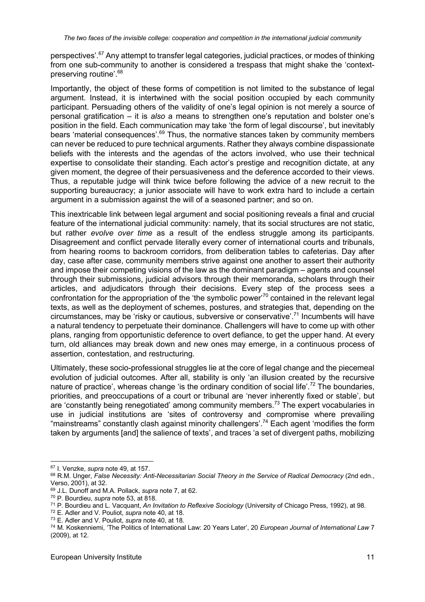perspectives'.<sup>67</sup> Any attempt to transfer legal categories, judicial practices, or modes of thinking from one sub-community to another is considered a trespass that might shake the 'contextpreserving routine'.<sup>68</sup>

Importantly, the object of these forms of competition is not limited to the substance of legal argument. Instead, it is intertwined with the social position occupied by each community participant. Persuading others of the validity of one's legal opinion is not merely a source of personal gratification – it is *also* a means to strengthen one's reputation and bolster one's position in the field. Each communication may take 'the form of legal discourse', but inevitably bears 'material consequences'.<sup>69</sup> Thus, the normative stances taken by community members can never be reduced to pure technical arguments. Rather they always combine dispassionate beliefs with the interests and the agendas of the actors involved, who use their technical expertise to consolidate their standing. Each actor's prestige and recognition dictate, at any given moment, the degree of their persuasiveness and the deference accorded to their views. Thus, a reputable judge will think twice before following the advice of a new recruit to the supporting bureaucracy; a junior associate will have to work extra hard to include a certain argument in a submission against the will of a seasoned partner; and so on.

This inextricable link between legal argument and social positioning reveals a final and crucial feature of the international judicial community: namely, that its social structures are not static, but rather *evolve over time* as a result of the endless struggle among its participants. Disagreement and conflict pervade literally every corner of international courts and tribunals, from hearing rooms to backroom corridors, from deliberation tables to cafeterias. Day after day, case after case, community members strive against one another to assert their authority and impose their competing visions of the law as the dominant paradigm – agents and counsel through their submissions, judicial advisors through their memoranda, scholars through their articles, and adjudicators through their decisions. Every step of the process sees a confrontation for the appropriation of the 'the symbolic power'<sup>70</sup> contained in the relevant legal texts, as well as the deployment of schemes, postures, and strategies that, depending on the circumstances, may be 'risky or cautious, subversive or conservative'.<sup>71</sup> Incumbents will have a natural tendency to perpetuate their dominance. Challengers will have to come up with other plans, ranging from opportunistic deference to overt defiance, to get the upper hand. At every turn, old alliances may break down and new ones may emerge, in a continuous process of assertion, contestation, and restructuring.

Ultimately, these socio-professional struggles lie at the core of legal change and the piecemeal evolution of judicial outcomes. After all, stability is only 'an illusion created by the recursive nature of practice', whereas change 'is the ordinary condition of social life'.<sup>72</sup> The boundaries, priorities, and preoccupations of a court or tribunal are 'never inherently fixed or stable', but are 'constantly being renegotiated' among community members.<sup>73</sup> The expert vocabularies in use in judicial institutions are 'sites of controversy and compromise where prevailing "mainstreams" constantly clash against minority challengers'.<sup>74</sup> Each agent 'modifies the form taken by arguments [and] the salience of texts', and traces 'a set of divergent paths, mobilizing

<sup>67</sup> I. Venzke, *supra* note 49, at 157.

<sup>68</sup> R.M. Unger, *False Necessity: Anti-Necessitarian Social Theory in the Service of Radical Democracy* (2nd edn., Verso, 2001), at 32.

<sup>69</sup> J.L. Dunoff and M.A. Pollack, *supra* note 7, at 62.

<sup>70</sup> P. Bourdieu, *supra* note 53, at 818.

<sup>71</sup> P. Bourdieu and L. Vacquant, *An Invitation to Reflexive Sociology* (University of Chicago Press, 1992), at 98.

<sup>72</sup> E. Adler and V. Pouliot, *supra* note 40, at 18.

<sup>73</sup> E. Adler and V. Pouliot, *supra* note 40, at 18.

<sup>74</sup> M. Koskenniemi, 'The Politics of International Law: 20 Years Later', 20 *European Journal of International Law* 7 (2009), at 12.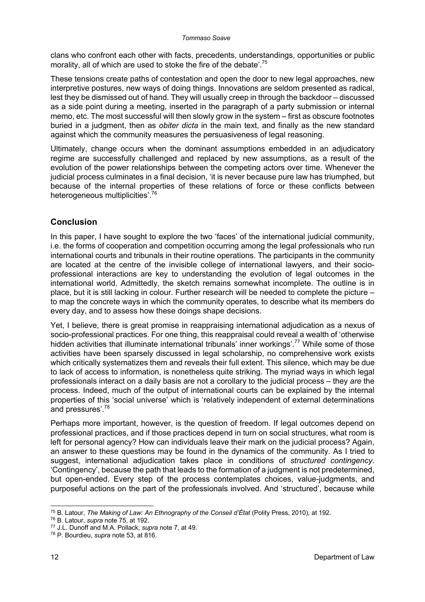clans who confront each other with facts, precedents, understandings, opportunities or public morality, all of which are used to stoke the fire of the debate'.<sup>75</sup>

These tensions create paths of contestation and open the door to new legal approaches, new interpretive postures, new ways of doing things. Innovations are seldom presented as radical, lest they be dismissed out of hand. They will usually creep in through the backdoor – discussed as a side point during a meeting, inserted in the paragraph of a party submission or internal memo, etc. The most successful will then slowly grow in the system – first as obscure footnotes buried in a judgment, then as *obiter dicta* in the main text, and finally as the new standard against which the community measures the persuasiveness of legal reasoning.

Ultimately, change occurs when the dominant assumptions embedded in an adjudicatory regime are successfully challenged and replaced by new assumptions, as a result of the evolution of the power relationships between the competing actors over time. Whenever the judicial process culminates in a final decision, 'it is never because pure law has triumphed, but because of the internal properties of these relations of force or these conflicts between heterogeneous multiplicities'.<sup>76</sup>

### **Conclusion**

In this paper, I have sought to explore the two 'faces' of the international judicial community, i.e. the forms of cooperation and competition occurring among the legal professionals who run international courts and tribunals in their routine operations. The participants in the community are located at the centre of the invisible college of international lawyers, and their socioprofessional interactions are key to understanding the evolution of legal outcomes in the international world. Admittedly, the sketch remains somewhat incomplete. The outline is in place, but it is still lacking in colour. Further research will be needed to complete the picture – to map the concrete ways in which the community operates, to describe what its members do every day, and to assess how these doings shape decisions.

Yet, I believe, there is great promise in reappraising international adjudication as a nexus of socio-professional practices. For one thing, this reappraisal could reveal a wealth of 'otherwise hidden activities that illuminate international tribunals' inner workings'.<sup>77</sup> While some of those activities have been sparsely discussed in legal scholarship, no comprehensive work exists which critically systematizes them and reveals their full extent. This silence, which may be due to lack of access to information, is nonetheless quite striking. The myriad ways in which legal professionals interact on a daily basis are not a corollary to the judicial process – they *are* the process. Indeed, much of the output of international courts can be explained by the internal properties of this 'social universe' which is 'relatively independent of external determinations and pressures'.78

Perhaps more important, however, is the question of freedom. If legal outcomes depend on professional practices, and if those practices depend in turn on social structures, what room is left for personal agency? How can individuals leave their mark on the judicial process? Again, an answer to these questions may be found in the dynamics of the community. As I tried to suggest, international adjudication takes place in conditions of *structured contingency*. 'Contingency', because the path that leads to the formation of a judgment is not predetermined, but open-ended. Every step of the process contemplates choices, value-judgments, and purposeful actions on the part of the professionals involved. And 'structured', because while

<sup>75</sup> B. Latour, *The Making of Law: An Ethnography of the Conseil d'État* (Polity Press, 2010), at 192.

<sup>76</sup> B. Latour, *supra* note 75, at 192.

<sup>77</sup> J.L. Dunoff and M.A. Pollack, *supra* note 7, at 49.

<sup>78</sup> P. Bourdieu, *supra* note 53, at 816.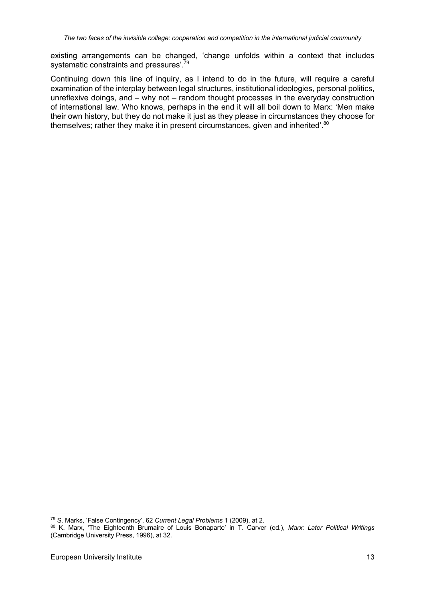existing arrangements can be changed, 'change unfolds within a context that includes systematic constraints and pressures'.<sup>79</sup>

Continuing down this line of inquiry, as I intend to do in the future, will require a careful examination of the interplay between legal structures, institutional ideologies, personal politics, unreflexive doings, and – why not – random thought processes in the everyday construction of international law. Who knows, perhaps in the end it will all boil down to Marx: 'Men make their own history, but they do not make it just as they please in circumstances they choose for themselves; rather they make it in present circumstances, given and inherited'.<sup>80</sup>

<sup>79</sup> S. Marks, 'False Contingency', 62 *Current Legal Problems* 1 (2009), at 2.

<sup>80</sup> K. Marx, 'The Eighteenth Brumaire of Louis Bonaparte' in T. Carver (ed.), *Marx: Later Political Writings* (Cambridge University Press, 1996), at 32.